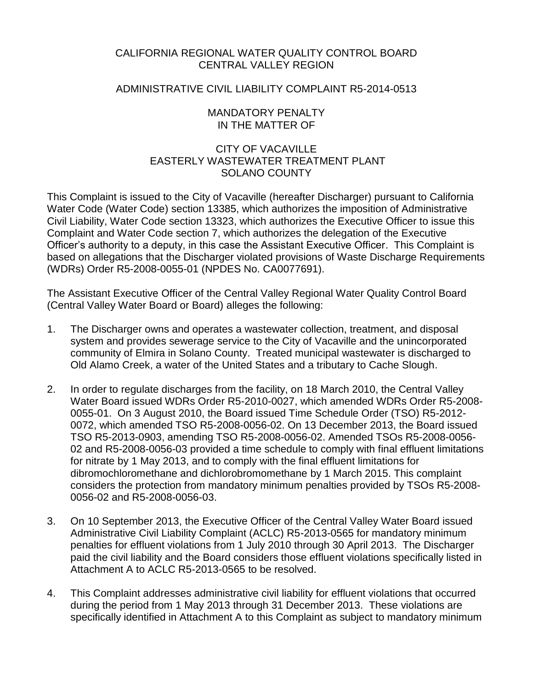# CALIFORNIA REGIONAL WATER QUALITY CONTROL BOARD CENTRAL VALLEY REGION

# ADMINISTRATIVE CIVIL LIABILITY COMPLAINT R5-2014-0513

## MANDATORY PENALTY IN THE MATTER OF

# CITY OF VACAVILLE EASTERLY WASTEWATER TREATMENT PLANT SOLANO COUNTY

This Complaint is issued to the City of Vacaville (hereafter Discharger) pursuant to California Water Code (Water Code) section 13385, which authorizes the imposition of Administrative Civil Liability, Water Code section 13323, which authorizes the Executive Officer to issue this Complaint and Water Code section 7, which authorizes the delegation of the Executive Officer's authority to a deputy, in this case the Assistant Executive Officer. This Complaint is based on allegations that the Discharger violated provisions of Waste Discharge Requirements (WDRs) Order R5-2008-0055-01 (NPDES No. CA0077691).

The Assistant Executive Officer of the Central Valley Regional Water Quality Control Board (Central Valley Water Board or Board) alleges the following:

- 1. The Discharger owns and operates a wastewater collection, treatment, and disposal system and provides sewerage service to the City of Vacaville and the unincorporated community of Elmira in Solano County. Treated municipal wastewater is discharged to Old Alamo Creek, a water of the United States and a tributary to Cache Slough.
- 2. In order to regulate discharges from the facility, on 18 March 2010, the Central Valley Water Board issued WDRs Order R5-2010-0027, which amended WDRs Order R5-2008- 0055-01. On 3 August 2010, the Board issued Time Schedule Order (TSO) R5-2012- 0072, which amended TSO R5-2008-0056-02. On 13 December 2013, the Board issued TSO R5-2013-0903, amending TSO R5-2008-0056-02. Amended TSOs R5-2008-0056- 02 and R5-2008-0056-03 provided a time schedule to comply with final effluent limitations for nitrate by 1 May 2013, and to comply with the final effluent limitations for dibromochloromethane and dichlorobromomethane by 1 March 2015. This complaint considers the protection from mandatory minimum penalties provided by TSOs R5-2008- 0056-02 and R5-2008-0056-03.
- 3. On 10 September 2013, the Executive Officer of the Central Valley Water Board issued Administrative Civil Liability Complaint (ACLC) R5-2013-0565 for mandatory minimum penalties for effluent violations from 1 July 2010 through 30 April 2013. The Discharger paid the civil liability and the Board considers those effluent violations specifically listed in Attachment A to ACLC R5-2013-0565 to be resolved.
- 4. This Complaint addresses administrative civil liability for effluent violations that occurred during the period from 1 May 2013 through 31 December 2013. These violations are specifically identified in Attachment A to this Complaint as subject to mandatory minimum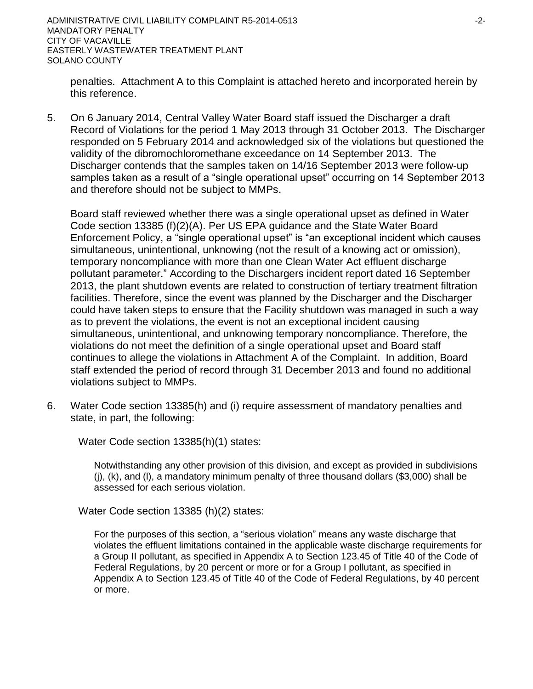penalties. Attachment A to this Complaint is attached hereto and incorporated herein by this reference.

5. On 6 January 2014, Central Valley Water Board staff issued the Discharger a draft Record of Violations for the period 1 May 2013 through 31 October 2013. The Discharger responded on 5 February 2014 and acknowledged six of the violations but questioned the validity of the dibromochloromethane exceedance on 14 September 2013. The Discharger contends that the samples taken on 14/16 September 2013 were follow-up samples taken as a result of a "single operational upset" occurring on 14 September 2013 and therefore should not be subject to MMPs.

Board staff reviewed whether there was a single operational upset as defined in Water Code section 13385 (f)(2)(A). Per US EPA guidance and the State Water Board Enforcement Policy, a "single operational upset" is "an exceptional incident which causes simultaneous, unintentional, unknowing (not the result of a knowing act or omission), temporary noncompliance with more than one Clean Water Act effluent discharge pollutant parameter." According to the Dischargers incident report dated 16 September 2013, the plant shutdown events are related to construction of tertiary treatment filtration facilities. Therefore, since the event was planned by the Discharger and the Discharger could have taken steps to ensure that the Facility shutdown was managed in such a way as to prevent the violations, the event is not an exceptional incident causing simultaneous, unintentional, and unknowing temporary noncompliance. Therefore, the violations do not meet the definition of a single operational upset and Board staff continues to allege the violations in Attachment A of the Complaint. In addition, Board staff extended the period of record through 31 December 2013 and found no additional violations subject to MMPs.

6. Water Code section 13385(h) and (i) require assessment of mandatory penalties and state, in part, the following:

Water Code section 13385(h)(1) states:

Notwithstanding any other provision of this division, and except as provided in subdivisions (j), (k), and (l), a mandatory minimum penalty of three thousand dollars (\$3,000) shall be assessed for each serious violation.

Water Code section 13385 (h)(2) states:

For the purposes of this section, a "serious violation" means any waste discharge that violates the effluent limitations contained in the applicable waste discharge requirements for a Group II pollutant, as specified in Appendix A to Section 123.45 of Title 40 of the Code of Federal Regulations, by 20 percent or more or for a Group I pollutant, as specified in Appendix A to Section 123.45 of Title 40 of the Code of Federal Regulations, by 40 percent or more.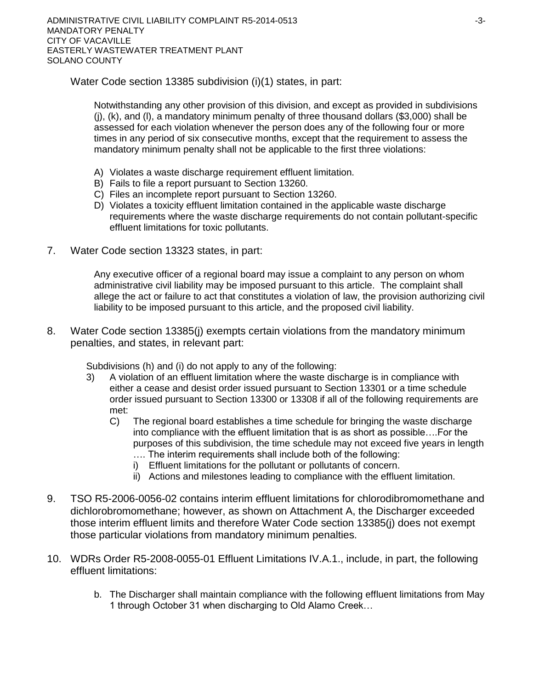Water Code section 13385 subdivision (i)(1) states, in part:

Notwithstanding any other provision of this division, and except as provided in subdivisions  $(i)$ ,  $(k)$ , and  $(l)$ , a mandatory minimum penalty of three thousand dollars (\$3,000) shall be assessed for each violation whenever the person does any of the following four or more times in any period of six consecutive months, except that the requirement to assess the mandatory minimum penalty shall not be applicable to the first three violations:

- A) Violates a waste discharge requirement effluent limitation.
- B) Fails to file a report pursuant to Section 13260.
- C) Files an incomplete report pursuant to Section 13260.
- D) Violates a toxicity effluent limitation contained in the applicable waste discharge requirements where the waste discharge requirements do not contain pollutant-specific effluent limitations for toxic pollutants.
- 7. Water Code section 13323 states, in part:

Any executive officer of a regional board may issue a complaint to any person on whom administrative civil liability may be imposed pursuant to this article. The complaint shall allege the act or failure to act that constitutes a violation of law, the provision authorizing civil liability to be imposed pursuant to this article, and the proposed civil liability.

8. Water Code section 13385(j) exempts certain violations from the mandatory minimum penalties, and states, in relevant part:

Subdivisions (h) and (i) do not apply to any of the following:

- 3) A violation of an effluent limitation where the waste discharge is in compliance with either a cease and desist order issued pursuant to Section 13301 or a time schedule order issued pursuant to Section 13300 or 13308 if all of the following requirements are met:
	- C) The regional board establishes a time schedule for bringing the waste discharge into compliance with the effluent limitation that is as short as possible….For the purposes of this subdivision, the time schedule may not exceed five years in length …. The interim requirements shall include both of the following:
		- i) Effluent limitations for the pollutant or pollutants of concern.
		- ii) Actions and milestones leading to compliance with the effluent limitation.
- 9. TSO R5-2006-0056-02 contains interim effluent limitations for chlorodibromomethane and dichlorobromomethane; however, as shown on Attachment A, the Discharger exceeded those interim effluent limits and therefore Water Code section 13385(j) does not exempt those particular violations from mandatory minimum penalties.
- 10. WDRs Order R5-2008-0055-01 Effluent Limitations IV.A.1., include, in part, the following effluent limitations:
	- b. The Discharger shall maintain compliance with the following effluent limitations from May 1 through October 31 when discharging to Old Alamo Creek…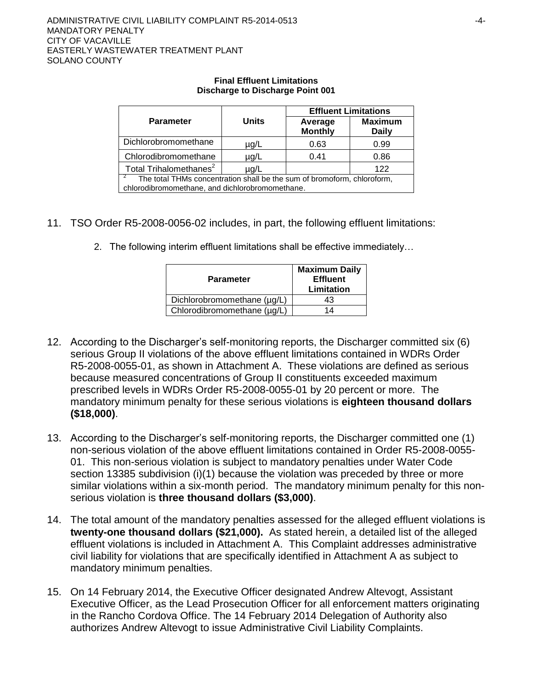#### **Final Effluent Limitations Discharge to Discharge Point 001**

|                                                                         |              | <b>Effluent Limitations</b> |                                |  |  |  |
|-------------------------------------------------------------------------|--------------|-----------------------------|--------------------------------|--|--|--|
| <b>Parameter</b>                                                        | <b>Units</b> | Average<br><b>Monthly</b>   | <b>Maximum</b><br><b>Daily</b> |  |  |  |
| Dichlorobromomethane                                                    | µg/L         | 0.63                        | 0.99                           |  |  |  |
| Chlorodibromomethane                                                    | µg/L         | 0.41                        | 0.86                           |  |  |  |
| Total Trihalomethanes <sup>2</sup><br>122<br>$\mu$ g/L                  |              |                             |                                |  |  |  |
| The total THMs concentration shall be the sum of bromoform, chloroform, |              |                             |                                |  |  |  |
| chlorodibromomethane, and dichlorobromomethane.                         |              |                             |                                |  |  |  |

- 11. TSO Order R5-2008-0056-02 includes, in part, the following effluent limitations:
	- 2. The following interim effluent limitations shall be effective immediately…

| <b>Parameter</b>            | <b>Maximum Daily</b><br><b>Effluent</b><br>Limitation |  |  |
|-----------------------------|-------------------------------------------------------|--|--|
| Dichlorobromomethane (µg/L) | 43                                                    |  |  |
| Chlorodibromomethane (µg/L) | 14                                                    |  |  |

- 12. According to the Discharger's self-monitoring reports, the Discharger committed six (6) serious Group II violations of the above effluent limitations contained in WDRs Order R5-2008-0055-01, as shown in Attachment A. These violations are defined as serious because measured concentrations of Group II constituents exceeded maximum prescribed levels in WDRs Order R5-2008-0055-01 by 20 percent or more. The mandatory minimum penalty for these serious violations is **eighteen thousand dollars (\$18,000)**.
- 13. According to the Discharger's self-monitoring reports, the Discharger committed one (1) non-serious violation of the above effluent limitations contained in Order R5-2008-0055- 01. This non-serious violation is subject to mandatory penalties under Water Code section 13385 subdivision (i)(1) because the violation was preceded by three or more similar violations within a six-month period. The mandatory minimum penalty for this nonserious violation is **three thousand dollars (\$3,000)**.
- 14. The total amount of the mandatory penalties assessed for the alleged effluent violations is **twenty-one thousand dollars (\$21,000).** As stated herein, a detailed list of the alleged effluent violations is included in Attachment A. This Complaint addresses administrative civil liability for violations that are specifically identified in Attachment A as subject to mandatory minimum penalties.
- 15. On 14 February 2014, the Executive Officer designated Andrew Altevogt, Assistant Executive Officer, as the Lead Prosecution Officer for all enforcement matters originating in the Rancho Cordova Office. The 14 February 2014 Delegation of Authority also authorizes Andrew Altevogt to issue Administrative Civil Liability Complaints.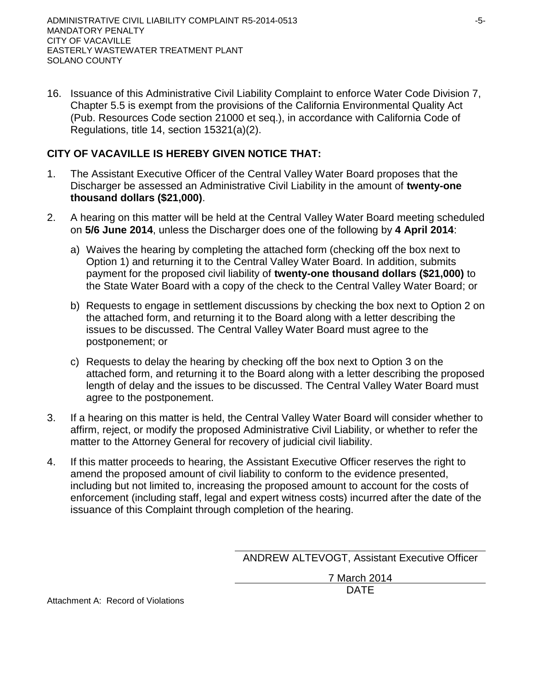16. Issuance of this Administrative Civil Liability Complaint to enforce Water Code Division 7, Chapter 5.5 is exempt from the provisions of the California Environmental Quality Act (Pub. Resources Code section 21000 et seq.), in accordance with California Code of Regulations, title 14, section 15321(a)(2).

# **CITY OF VACAVILLE IS HEREBY GIVEN NOTICE THAT:**

- 1. The Assistant Executive Officer of the Central Valley Water Board proposes that the Discharger be assessed an Administrative Civil Liability in the amount of **twenty-one thousand dollars (\$21,000)**.
- 2. A hearing on this matter will be held at the Central Valley Water Board meeting scheduled on **5/6 June 2014**, unless the Discharger does one of the following by **4 April 2014**:
	- a) Waives the hearing by completing the attached form (checking off the box next to Option 1) and returning it to the Central Valley Water Board. In addition, submits payment for the proposed civil liability of **twenty-one thousand dollars (\$21,000)** to the State Water Board with a copy of the check to the Central Valley Water Board; or
	- b) Requests to engage in settlement discussions by checking the box next to Option 2 on the attached form, and returning it to the Board along with a letter describing the issues to be discussed. The Central Valley Water Board must agree to the postponement; or
	- c) Requests to delay the hearing by checking off the box next to Option 3 on the attached form, and returning it to the Board along with a letter describing the proposed length of delay and the issues to be discussed. The Central Valley Water Board must agree to the postponement.
- 3. If a hearing on this matter is held, the Central Valley Water Board will consider whether to affirm, reject, or modify the proposed Administrative Civil Liability, or whether to refer the matter to the Attorney General for recovery of judicial civil liability.
- 4. If this matter proceeds to hearing, the Assistant Executive Officer reserves the right to amend the proposed amount of civil liability to conform to the evidence presented, including but not limited to, increasing the proposed amount to account for the costs of enforcement (including staff, legal and expert witness costs) incurred after the date of the issuance of this Complaint through completion of the hearing.

ANDREW ALTEVOGT, Assistant Executive Officer

7 March 2014 DATE

Attachment A: Record of Violations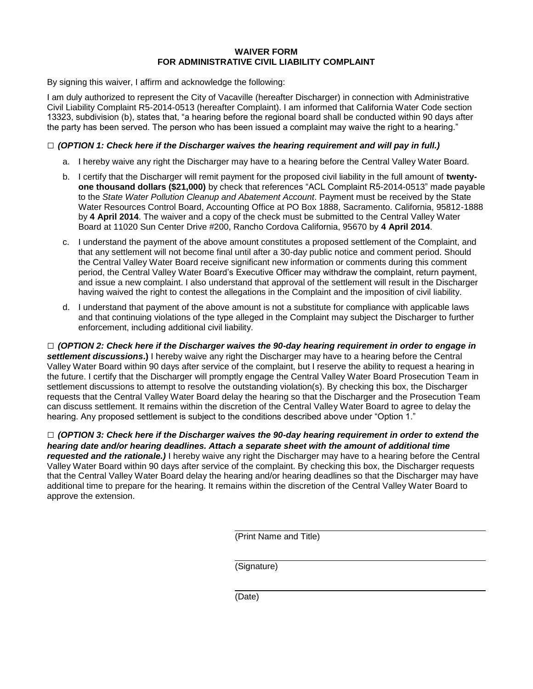#### **WAIVER FORM FOR ADMINISTRATIVE CIVIL LIABILITY COMPLAINT**

By signing this waiver, I affirm and acknowledge the following:

I am duly authorized to represent the City of Vacaville (hereafter Discharger) in connection with Administrative Civil Liability Complaint R5-2014-0513 (hereafter Complaint). I am informed that California Water Code section 13323, subdivision (b), states that, "a hearing before the regional board shall be conducted within 90 days after the party has been served. The person who has been issued a complaint may waive the right to a hearing."

#### **□** *(OPTION 1: Check here if the Discharger waives the hearing requirement and will pay in full.)*

- a. I hereby waive any right the Discharger may have to a hearing before the Central Valley Water Board.
- b. I certify that the Discharger will remit payment for the proposed civil liability in the full amount of **twentyone thousand dollars (\$21,000)** by check that references "ACL Complaint R5-2014-0513" made payable to the *State Water Pollution Cleanup and Abatement Account*. Payment must be received by the State Water Resources Control Board, Accounting Office at PO Box 1888, Sacramento. California, 95812-1888 by **4 April 2014**. The waiver and a copy of the check must be submitted to the Central Valley Water Board at 11020 Sun Center Drive #200, Rancho Cordova California, 95670 by **4 April 2014**.
- c. I understand the payment of the above amount constitutes a proposed settlement of the Complaint, and that any settlement will not become final until after a 30-day public notice and comment period. Should the Central Valley Water Board receive significant new information or comments during this comment period, the Central Valley Water Board's Executive Officer may withdraw the complaint, return payment, and issue a new complaint. I also understand that approval of the settlement will result in the Discharger having waived the right to contest the allegations in the Complaint and the imposition of civil liability.
- d. I understand that payment of the above amount is not a substitute for compliance with applicable laws and that continuing violations of the type alleged in the Complaint may subject the Discharger to further enforcement, including additional civil liability.

**□** *(OPTION 2: Check here if the Discharger waives the 90-day hearing requirement in order to engage in settlement discussions***.)** I hereby waive any right the Discharger may have to a hearing before the Central Valley Water Board within 90 days after service of the complaint, but I reserve the ability to request a hearing in the future. I certify that the Discharger will promptly engage the Central Valley Water Board Prosecution Team in settlement discussions to attempt to resolve the outstanding violation(s). By checking this box, the Discharger requests that the Central Valley Water Board delay the hearing so that the Discharger and the Prosecution Team can discuss settlement. It remains within the discretion of the Central Valley Water Board to agree to delay the hearing. Any proposed settlement is subject to the conditions described above under "Option 1."

**□** *(OPTION 3: Check here if the Discharger waives the 90-day hearing requirement in order to extend the hearing date and/or hearing deadlines. Attach a separate sheet with the amount of additional time requested and the rationale.)* I hereby waive any right the Discharger may have to a hearing before the Central Valley Water Board within 90 days after service of the complaint. By checking this box, the Discharger requests that the Central Valley Water Board delay the hearing and/or hearing deadlines so that the Discharger may have additional time to prepare for the hearing. It remains within the discretion of the Central Valley Water Board to approve the extension.

(Print Name and Title)

(Signature)

(Date)